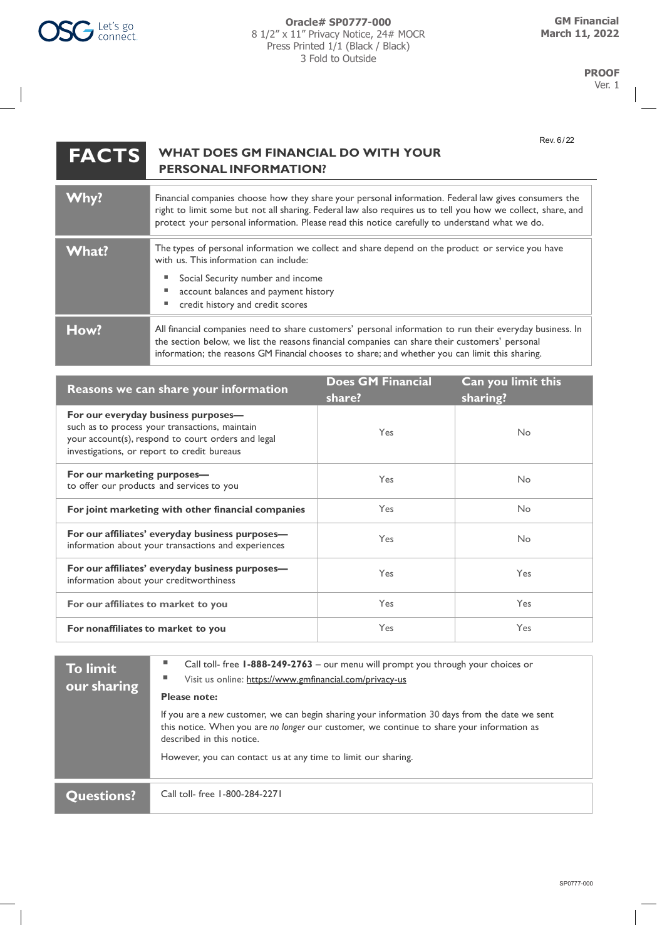## **FACTS WHAT DOES GM FINANCIAL DO WITH YOUR PERSONAL INFORMATION?**

| Why?  | Financial companies choose how they share your personal information. Federal law gives consumers the<br>right to limit some but not all sharing. Federal law also requires us to tell you how we collect, share, and<br>protect your personal information. Please read this notice carefully to understand what we do. |  |
|-------|------------------------------------------------------------------------------------------------------------------------------------------------------------------------------------------------------------------------------------------------------------------------------------------------------------------------|--|
| What? | The types of personal information we collect and share depend on the product or service you have<br>with us. This information can include:<br>Social Security number and income<br>account balances and payment history<br>credit history and credit scores                                                            |  |
| How?  | All financial companies need to share customers' personal information to run their everyday business. In<br>the section below, we list the reasons financial companies can share their customers' personal<br>information; the reasons GM Financial chooses to share; and whether you can limit this sharing.          |  |

| Reasons we can share your information                                                                                                                                                      | <b>Does GM Financial</b><br>share? | Can you limit this<br>sharing? |
|--------------------------------------------------------------------------------------------------------------------------------------------------------------------------------------------|------------------------------------|--------------------------------|
| For our everyday business purposes-<br>such as to process your transactions, maintain<br>your account(s), respond to court orders and legal<br>investigations, or report to credit bureaus | Yes                                | N <sub>o</sub>                 |
| For our marketing purposes-<br>to offer our products and services to you                                                                                                                   | <b>Yes</b>                         | N <sub>o</sub>                 |
| For joint marketing with other financial companies                                                                                                                                         | <b>Yes</b>                         | No                             |
| For our affiliates' everyday business purposes-<br>information about your transactions and experiences                                                                                     | <b>Yes</b>                         | No                             |
| For our affiliates' everyday business purposes-<br>information about your creditworthiness                                                                                                 | <b>Yes</b>                         | <b>Yes</b>                     |
| For our affiliates to market to you                                                                                                                                                        | Yes                                | Yes                            |
| For nonaffiliates to market to you                                                                                                                                                         | Yes                                | <b>Yes</b>                     |

| <b>To limit</b><br>our sharing | ш<br>Call toll- free 1-888-249-2763 - our menu will prompt you through your choices or<br>Visit us online: https://www.gmfinancial.com/privacy-us<br><b>Please note:</b>                                                  |
|--------------------------------|---------------------------------------------------------------------------------------------------------------------------------------------------------------------------------------------------------------------------|
|                                | If you are a new customer, we can begin sharing your information 30 days from the date we sent<br>this notice. When you are no longer our customer, we continue to share your information as<br>described in this notice. |
|                                | However, you can contact us at any time to limit our sharing.                                                                                                                                                             |
| <b>Questions?</b>              | Call toll- free 1-800-284-2271                                                                                                                                                                                            |